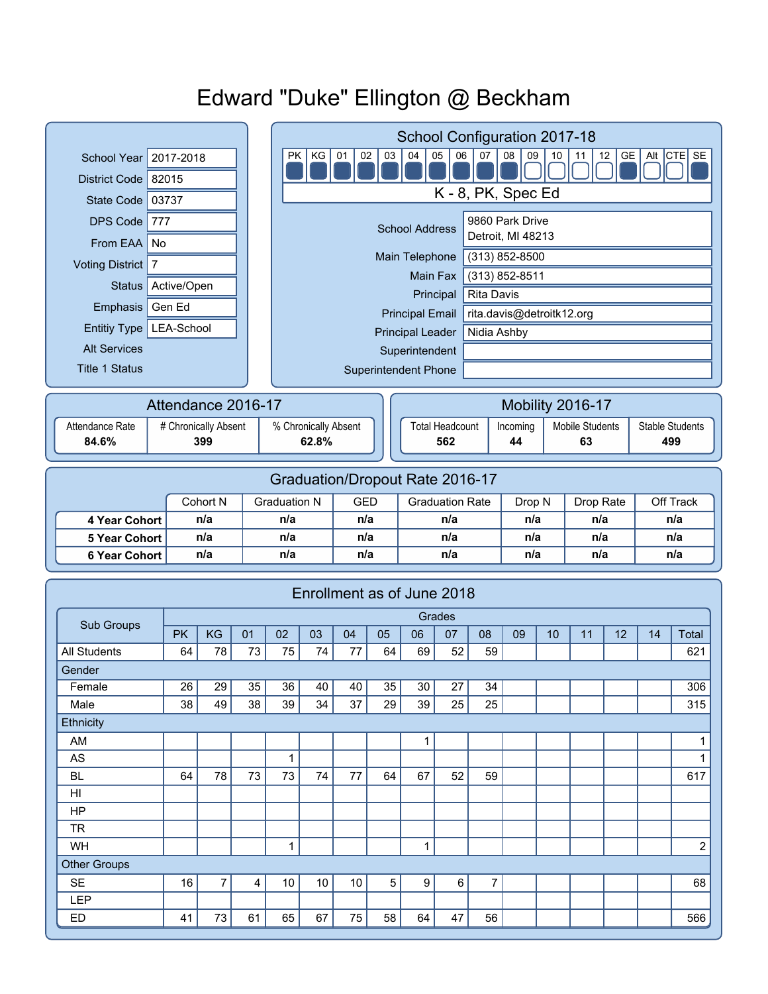# Edward "Duke" Ellington @ Beckham

|                                         |                     |     |                | School Configuration 2017-18 |                                                                                                      |                  |                                      |                                 |                        |                |          |     |                        |     |                        |              |  |
|-----------------------------------------|---------------------|-----|----------------|------------------------------|------------------------------------------------------------------------------------------------------|------------------|--------------------------------------|---------------------------------|------------------------|----------------|----------|-----|------------------------|-----|------------------------|--------------|--|
| <b>School Year</b>                      | 2017-2018           |     |                |                              | 05<br>07<br>GE<br>Alt CTE SE<br>PK<br>KG<br>01<br>02<br>03<br>04<br>06<br>08<br>12<br>09<br>10<br>11 |                  |                                      |                                 |                        |                |          |     |                        |     |                        |              |  |
| District Code 82015                     |                     |     |                |                              |                                                                                                      |                  |                                      |                                 |                        |                |          |     |                        |     |                        |              |  |
| State Code   03737                      |                     |     |                |                              | K - 8, PK, Spec Ed                                                                                   |                  |                                      |                                 |                        |                |          |     |                        |     |                        |              |  |
| <b>DPS Code</b><br>777                  |                     |     |                |                              | 9860 Park Drive<br><b>School Address</b>                                                             |                  |                                      |                                 |                        |                |          |     |                        |     |                        |              |  |
| From EAA No                             |                     |     |                |                              | Detroit, MI 48213                                                                                    |                  |                                      |                                 |                        |                |          |     |                        |     |                        |              |  |
| Voting District   7                     |                     |     |                |                              | $(313) 852 - 8500$<br>Main Telephone                                                                 |                  |                                      |                                 |                        |                |          |     |                        |     |                        |              |  |
| Active/Open<br><b>Status</b>            |                     |     |                |                              | (313) 852-8511<br>Main Fax                                                                           |                  |                                      |                                 |                        |                |          |     |                        |     |                        |              |  |
| Gen Ed<br>Emphasis                      |                     |     |                |                              | <b>Rita Davis</b><br>Principal                                                                       |                  |                                      |                                 |                        |                |          |     |                        |     |                        |              |  |
| Entitiy Type   LEA-School               |                     |     |                |                              | rita.davis@detroitk12.org<br><b>Principal Email</b>                                                  |                  |                                      |                                 |                        |                |          |     |                        |     |                        |              |  |
|                                         | <b>Alt Services</b> |     |                |                              | Nidia Ashby<br><b>Principal Leader</b>                                                               |                  |                                      |                                 |                        |                |          |     |                        |     |                        |              |  |
| <b>Title 1 Status</b>                   |                     |     |                |                              | Superintendent<br><b>Superintendent Phone</b>                                                        |                  |                                      |                                 |                        |                |          |     |                        |     |                        |              |  |
|                                         |                     |     |                |                              |                                                                                                      |                  |                                      |                                 |                        |                |          |     |                        |     |                        |              |  |
|                                         | Attendance 2016-17  |     |                |                              |                                                                                                      | Mobility 2016-17 |                                      |                                 |                        |                |          |     |                        |     |                        |              |  |
| Attendance Rate<br># Chronically Absent |                     |     |                | % Chronically Absent         |                                                                                                      |                  |                                      |                                 | <b>Total Headcount</b> |                | Incoming |     | <b>Mobile Students</b> |     | <b>Stable Students</b> |              |  |
| 84.6%<br>399                            |                     |     |                |                              | 62.8%                                                                                                |                  |                                      |                                 | 562                    |                | 44       |     | 63                     |     | 499                    |              |  |
|                                         |                     |     |                |                              |                                                                                                      |                  |                                      |                                 |                        |                |          |     |                        |     |                        |              |  |
|                                         |                     |     |                |                              |                                                                                                      |                  |                                      | Graduation/Dropout Rate 2016-17 |                        |                |          |     |                        |     |                        |              |  |
| Cohort N                                |                     |     |                | <b>Graduation N</b>          |                                                                                                      |                  | <b>GED</b><br><b>Graduation Rate</b> |                                 |                        |                | Drop N   |     | Drop Rate              |     | Off Track              |              |  |
| n/a<br>4 Year Cohort                    |                     |     | n/a            |                              |                                                                                                      | n/a              |                                      | n/a                             |                        | n/a            |          | n/a |                        | n/a |                        |              |  |
| <b>5 Year Cohort</b>                    | n/a                 |     |                | n/a                          |                                                                                                      |                  | n/a                                  |                                 | n/a                    |                | n/a      |     | n/a                    |     | n/a                    |              |  |
| <b>6 Year Cohort</b>                    |                     | n/a |                | n/a                          |                                                                                                      | n/a              |                                      | n/a                             |                        |                | n/a      |     | n/a                    |     | n/a                    |              |  |
|                                         |                     |     |                |                              |                                                                                                      |                  |                                      |                                 |                        |                |          |     |                        |     |                        |              |  |
|                                         |                     |     |                |                              |                                                                                                      |                  |                                      | Enrollment as of June 2018      |                        |                |          |     |                        |     |                        |              |  |
| Sub Groups                              |                     |     |                |                              |                                                                                                      |                  |                                      |                                 | Grades                 |                |          |     |                        |     |                        |              |  |
|                                         | <b>PK</b>           | KG  | 01             | 02                           | 03                                                                                                   | 04               | 05                                   | 06                              | 07                     | 08             | 09       | 10  | 11                     | 12  | 14                     | <b>Total</b> |  |
| <b>All Students</b>                     | 64                  | 78  | 73             | 75                           | 74                                                                                                   | 77               | 64                                   | 69                              | 52                     | 59             |          |     |                        |     |                        | 621          |  |
| Gender<br>Female                        | 26                  | 29  | 35             | 36                           | 40                                                                                                   | 40               | 35                                   | 30                              | $\overline{27}$        | 34             |          |     |                        |     |                        | 306          |  |
| Male                                    | 38                  | 49  | 38             | 39                           | 34                                                                                                   | 37               | 29                                   | 39                              | 25                     | 25             |          |     |                        |     |                        | 315          |  |
| Ethnicity                               |                     |     |                |                              |                                                                                                      |                  |                                      |                                 |                        |                |          |     |                        |     |                        |              |  |
| AM                                      |                     |     |                |                              |                                                                                                      |                  |                                      | $\mathbf{1}$                    |                        |                |          |     |                        |     |                        | 1            |  |
| AS                                      |                     |     |                | $\mathbf{1}$                 |                                                                                                      |                  |                                      |                                 |                        |                |          |     |                        |     |                        | 1            |  |
| <b>BL</b>                               | 64                  | 78  | 73             | 73                           | 74                                                                                                   | 77               | 64                                   | 67                              | 52                     | 59             |          |     |                        |     |                        | 617          |  |
| HI                                      |                     |     |                |                              |                                                                                                      |                  |                                      |                                 |                        |                |          |     |                        |     |                        |              |  |
| HP                                      |                     |     |                |                              |                                                                                                      |                  |                                      |                                 |                        |                |          |     |                        |     |                        |              |  |
| <b>TR</b>                               |                     |     |                |                              |                                                                                                      |                  |                                      |                                 |                        |                |          |     |                        |     |                        |              |  |
| $\mathbf{1}$<br>$\mathbf{1}$<br>WH      |                     |     |                |                              |                                                                                                      |                  |                                      |                                 |                        |                |          |     | $\overline{c}$         |     |                        |              |  |
|                                         | <b>Other Groups</b> |     |                |                              |                                                                                                      |                  |                                      |                                 |                        |                |          |     |                        |     |                        |              |  |
| <b>SE</b>                               |                     |     |                | 10 <sup>°</sup>              | 10                                                                                                   | 10               | $\sqrt{5}$                           | 9                               | 6                      | $\overline{7}$ |          |     |                        |     |                        | 68           |  |
|                                         | 16                  | 7   | $\overline{4}$ |                              |                                                                                                      |                  |                                      |                                 |                        |                |          |     |                        |     |                        |              |  |
| <b>LEP</b><br><b>ED</b>                 | 41                  | 73  | 61             | 65                           | 67                                                                                                   | 75               | 58                                   | 64                              | 47                     | 56             |          |     |                        |     |                        | 566          |  |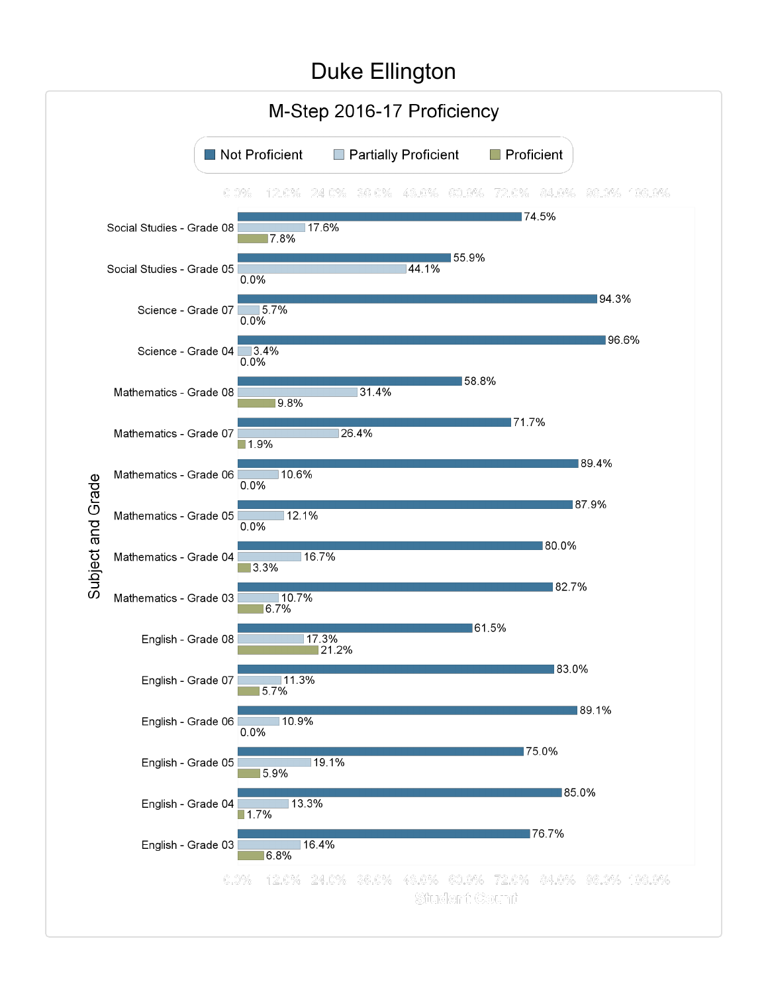### Duke Ellington

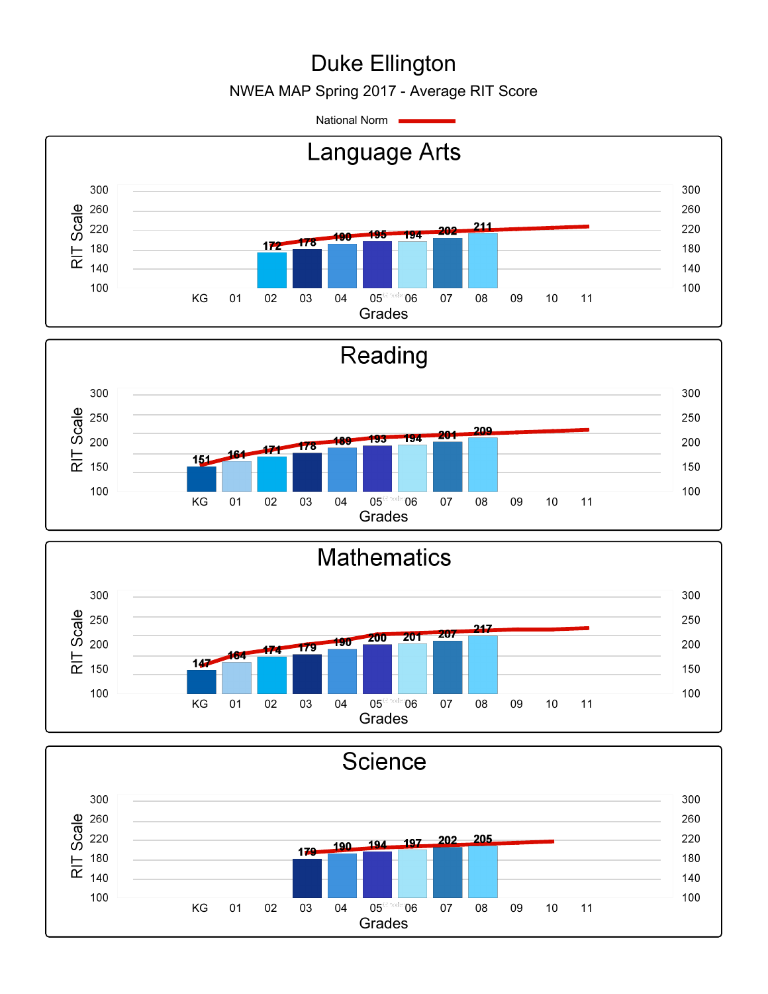# Duke Ellington

NWEA MAP Spring 2017 - Average RIT Score

National Norm